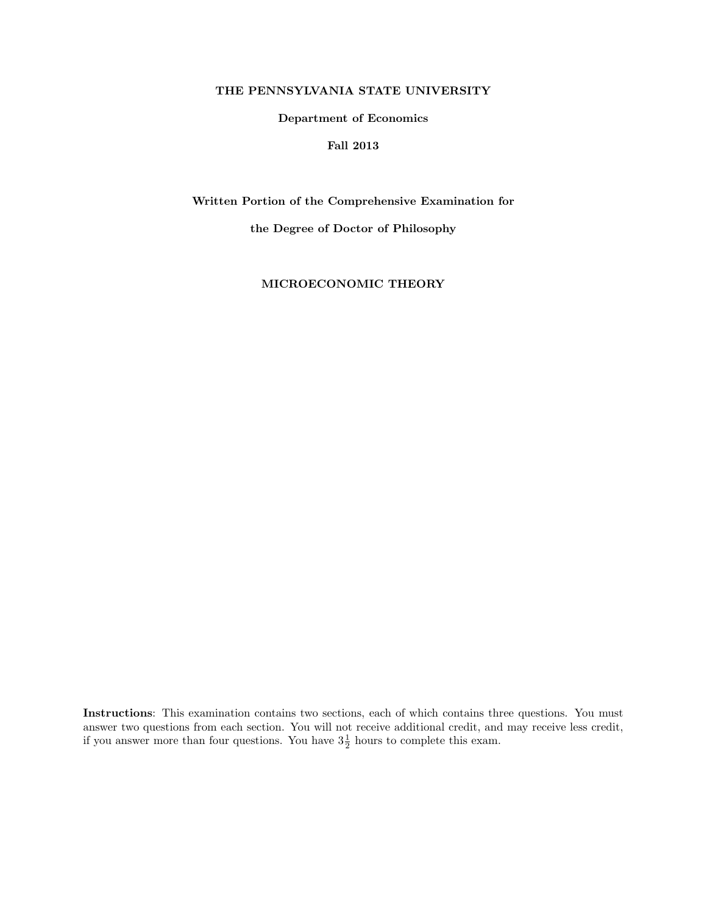#### THE PENNSYLVANIA STATE UNIVERSITY

#### Department of Economics

## Fall 2013

Written Portion of the Comprehensive Examination for

the Degree of Doctor of Philosophy

MICROECONOMIC THEORY

Instructions: This examination contains two sections, each of which contains three questions. You must answer two questions from each section. You will not receive additional credit, and may receive less credit, if you answer more than four questions. You have  $3\frac{1}{2}$  hours to complete this exam.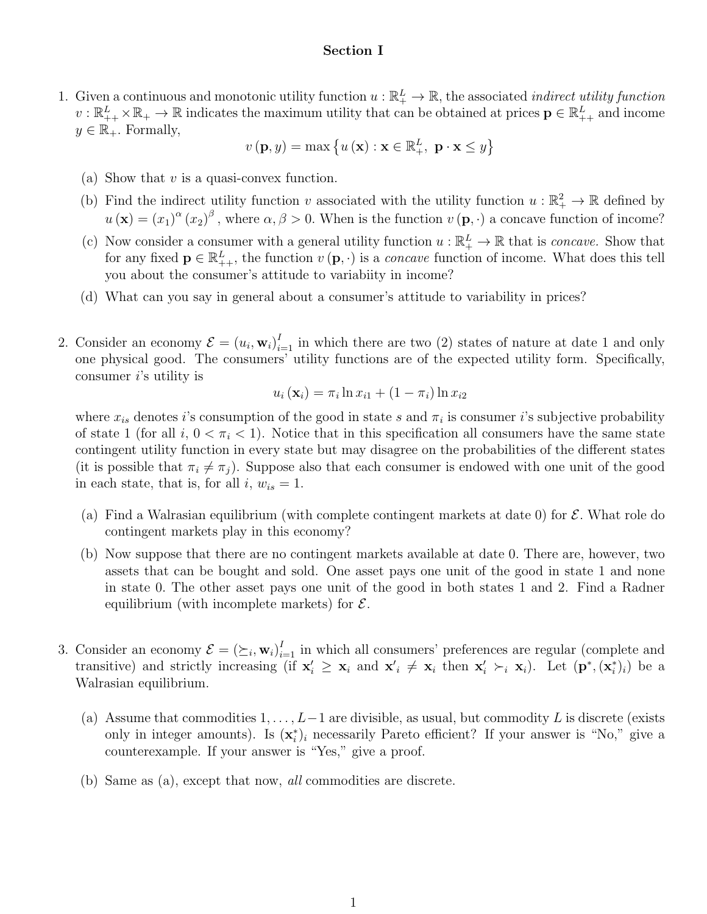### Section I

1. Given a continuous and monotonic utility function  $u : \mathbb{R}^L_+ \to \mathbb{R}$ , the associated *indirect utility function*  $v: \mathbb{R}_{++}^L \times \mathbb{R}_+ \to \mathbb{R}$  indicates the maximum utility that can be obtained at prices  $p \in \mathbb{R}_{++}^L$  and income  $y \in \mathbb{R}_+$ . Formally,

$$
v(\mathbf{p}, y) = \max\left\{u\left(\mathbf{x}\right) : \mathbf{x} \in \mathbb{R}^L_+, \ \mathbf{p} \cdot \mathbf{x} \le y\right\}
$$

- (a) Show that  $v$  is a quasi-convex function.
- (b) Find the indirect utility function v associated with the utility function  $u : \mathbb{R}^2_+ \to \mathbb{R}$  defined by  $u(\mathbf{x}) = (x_1)^{\alpha} (x_2)^{\beta}$ , where  $\alpha, \beta > 0$ . When is the function  $v(\mathbf{p}, \cdot)$  a concave function of income?
- (c) Now consider a consumer with a general utility function  $u : \mathbb{R}^L_+ \to \mathbb{R}$  that is *concave*. Show that for any fixed  $\mathbf{p} \in \mathbb{R}_{++}^L$ , the function  $v(\mathbf{p}, \cdot)$  is a *concave* function of income. What does this tell you about the consumer's attitude to variabiity in income?
- (d) What can you say in general about a consumer's attitude to variability in prices?
- 2. Consider an economy  $\mathcal{E} = (u_i, \mathbf{w}_i)_{i=1}^I$  in which there are two (2) states of nature at date 1 and only one physical good. The consumers' utility functions are of the expected utility form. Specifically, consumer i's utility is

$$
u_i(\mathbf{x}_i) = \pi_i \ln x_{i1} + (1 - \pi_i) \ln x_{i2}
$$

where  $x_{is}$  denotes i's consumption of the good in state s and  $\pi_i$  is consumer i's subjective probability of state 1 (for all i,  $0 < \pi_i < 1$ ). Notice that in this specification all consumers have the same state contingent utility function in every state but may disagree on the probabilities of the different states (it is possible that  $\pi_i \neq \pi_j$ ). Suppose also that each consumer is endowed with one unit of the good in each state, that is, for all  $i, w_{is} = 1$ .

- (a) Find a Walrasian equilibrium (with complete contingent markets at date 0) for  $\mathcal{E}$ . What role do contingent markets play in this economy?
- (b) Now suppose that there are no contingent markets available at date 0. There are, however, two assets that can be bought and sold. One asset pays one unit of the good in state 1 and none in state 0. The other asset pays one unit of the good in both states 1 and 2. Find a Radner equilibrium (with incomplete markets) for  $\mathcal{E}$ .
- 3. Consider an economy  $\mathcal{E} = (\succeq_i, \mathbf{w}_i)_{i=1}^I$  in which all consumers' preferences are regular (complete and transitive) and strictly increasing (if  $\mathbf{x}'_i \geq \mathbf{x}_i$  and  $\mathbf{x}'_i \neq \mathbf{x}_i$  then  $\mathbf{x}'_i \succ_i \mathbf{x}_i$ ). Let  $(\mathbf{p}^*, (\mathbf{x}_i^*)_i)$  be a Walrasian equilibrium.
	- (a) Assume that commodities  $1, \ldots, L-1$  are divisible, as usual, but commodity L is discrete (exists only in integer amounts). Is  $(\mathbf{x}_i^*)_i$  necessarily Pareto efficient? If your answer is "No," give a counterexample. If your answer is "Yes," give a proof.
	- (b) Same as (a), except that now, all commodities are discrete.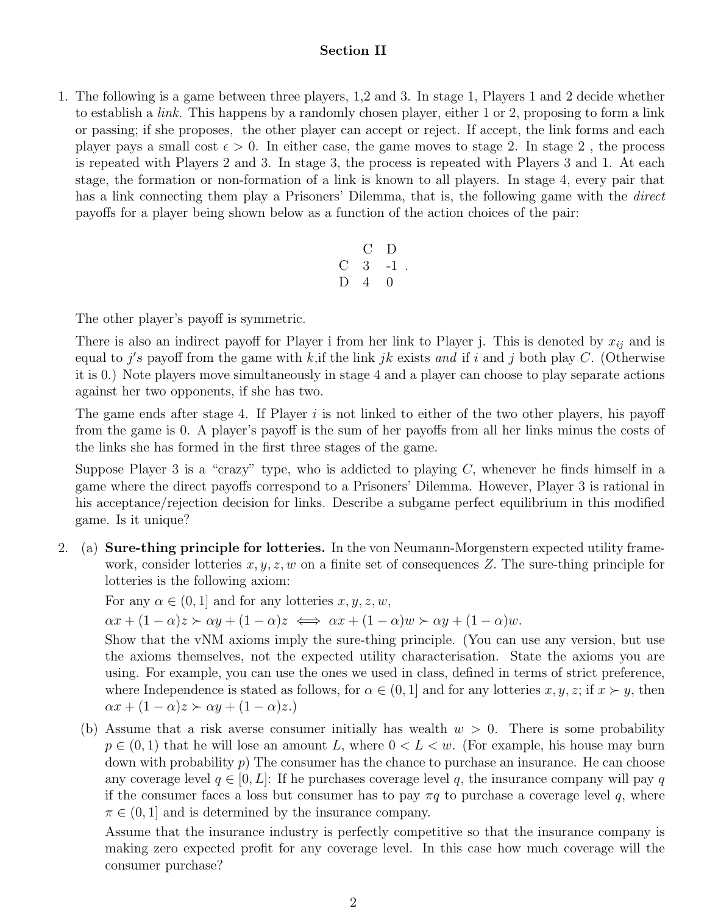# Section II

1. The following is a game between three players, 1,2 and 3. In stage 1, Players 1 and 2 decide whether to establish a *link*. This happens by a randomly chosen player, either 1 or 2, proposing to form a link or passing; if she proposes, the other player can accept or reject. If accept, the link forms and each player pays a small cost  $\epsilon > 0$ . In either case, the game moves to stage 2. In stage 2, the process is repeated with Players 2 and 3. In stage 3, the process is repeated with Players 3 and 1. At each stage, the formation or non-formation of a link is known to all players. In stage 4, every pair that has a link connecting them play a Prisoners' Dilemma, that is, the following game with the *direct* payoffs for a player being shown below as a function of the action choices of the pair:

$$
\begin{array}{ccc}\n & C & D \\
C & 3 & -1 \\
D & 4 & 0\n\end{array}.
$$

The other player's payoff is symmetric.

There is also an indirect payoff for Player i from her link to Player j. This is denoted by  $x_{ij}$  and is equal to j's payoff from the game with k, if the link jk exists and if i and j both play C. (Otherwise it is 0.) Note players move simultaneously in stage 4 and a player can choose to play separate actions against her two opponents, if she has two.

The game ends after stage 4. If Player  $i$  is not linked to either of the two other players, his payoff from the game is 0. A player's payoff is the sum of her payoffs from all her links minus the costs of the links she has formed in the first three stages of the game.

Suppose Player 3 is a "crazy" type, who is addicted to playing  $C$ , whenever he finds himself in a game where the direct payoffs correspond to a Prisoners' Dilemma. However, Player 3 is rational in his acceptance/rejection decision for links. Describe a subgame perfect equilibrium in this modified game. Is it unique?

2. (a) Sure-thing principle for lotteries. In the von Neumann-Morgenstern expected utility framework, consider lotteries  $x, y, z, w$  on a finite set of consequences Z. The sure-thing principle for lotteries is the following axiom:

For any  $\alpha \in (0,1]$  and for any lotteries  $x, y, z, w$ ,

 $\alpha x + (1 - \alpha)z \succ \alpha y + (1 - \alpha)z \iff \alpha x + (1 - \alpha)w \succ \alpha y + (1 - \alpha)w.$ 

Show that the vNM axioms imply the sure-thing principle. (You can use any version, but use the axioms themselves, not the expected utility characterisation. State the axioms you are using. For example, you can use the ones we used in class, defined in terms of strict preference, where Independence is stated as follows, for  $\alpha \in (0, 1]$  and for any lotteries  $x, y, z$ ; if  $x \succ y$ , then  $\alpha x + (1 - \alpha)z \succ \alpha y + (1 - \alpha)z.$ 

(b) Assume that a risk averse consumer initially has wealth  $w > 0$ . There is some probability  $p \in (0, 1)$  that he will lose an amount L, where  $0 < L < w$ . (For example, his house may burn down with probability  $p$ ) The consumer has the chance to purchase an insurance. He can choose any coverage level  $q \in [0, L]$ : If he purchases coverage level q, the insurance company will pay q if the consumer faces a loss but consumer has to pay  $\pi q$  to purchase a coverage level q, where  $\pi \in (0, 1]$  and is determined by the insurance company.

Assume that the insurance industry is perfectly competitive so that the insurance company is making zero expected profit for any coverage level. In this case how much coverage will the consumer purchase?